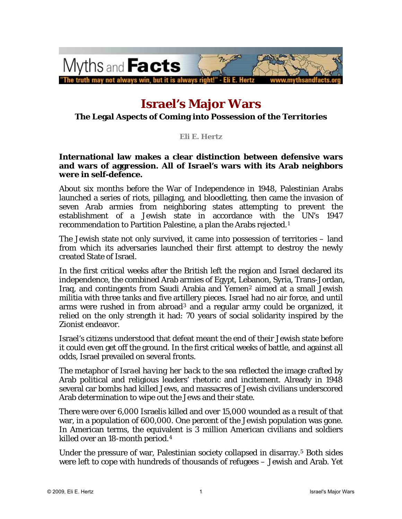

# **Israel's Major Wars**

#### **The Legal Aspects of Coming into Possession of the Territories**

#### **Eli E. Hertz**

#### **International law makes a clear distinction between defensive wars and wars of aggression. All of Israel's wars with its Arab neighbors were in self-defence.**

About six months before the War of Independence in 1948, Palestinian Arabs launched a series of riots, pillaging, and bloodletting, then came the invasion of seven Arab armies from neighboring states attempting to prevent the establishment of a Jewish state in accordance with the UN's 1947 *recommendation* to Partition Palestine, a plan the Arabs rejected.[1](#page-9-0)

The Jewish state not only survived, it came into possession of territories – land from which its adversaries launched their first attempt to destroy the newly created State of Israel.

In the first critical weeks after the British left the region and Israel declared its independence, the combined Arab armies of Egypt, Lebanon, Syria, Trans-Jordan, Iraq, and contingents from Saudi Arabia and Yemen<sup>[2](#page-9-1)</sup> aimed at a small Jewish militia with three tanks and five artillery pieces. Israel had no air force, and until arms were rushed in from abroad[3](#page-9-1) and a regular army could be organized, it relied on the only strength it had: 70 years of social solidarity inspired by the Zionist endeavor.

Israel's citizens understood that defeat meant the end of their Jewish state before it could even get off the ground. In the first critical weeks of battle, and against all odds, Israel prevailed on several fronts.

The metaphor of *Israel having her back to the sea* reflected the image crafted by Arab political and religious leaders' rhetoric and incitement. Already in 1948 several car bombs had killed Jews, and massacres of Jewish civilians underscored Arab determination to wipe out the Jews and their state.

There were over 6,000 Israelis killed and over 15,000 wounded as a result of that war, in a population of 600,000. One percent of the Jewish population was gone. In American terms, the equivalent is 3 million American civilians and soldiers killed over an 18-month period.[4](#page-9-1)

Under the pressure of war, Palestinian society collapsed in disarray.<sup>[5](#page-9-1)</sup> Both sides were left to cope with hundreds of thousands of refugees – Jewish and Arab. Yet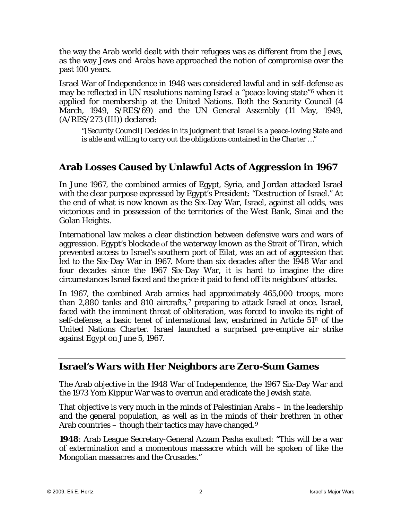the way the Arab world dealt with their refugees was as different from the Jews, as the way Jews and Arabs have approached the notion of compromise over the past 100 years.

Israel War of Independence in 1948 was considered lawful and in self-defense as may be reflected in UN resolutions naming Israel a "peace loving state"[6](#page-9-1) when it applied for membership at the United Nations. Both the Security Council (4 March, 1949, S/RES/69) and the UN General Assembly (11 May, 1949, (A/RES/273 (III)) declared:

"[Security Council] *Decides* in its judgment that Israel is a peace-loving State and is able and willing to carry out the obligations contained in the Charter …"

## **Arab Losses Caused by Unlawful Acts of Aggression in 1967**

In June 1967, the combined armies of Egypt, Syria, and Jordan attacked Israel with the clear purpose expressed by Egypt's President: "Destruction of Israel." At the end of what is now known as the Six-Day War, Israel, against all odds, was victorious and in possession of the territories of the West Bank, Sinai and the Golan Heights.

International law makes a clear distinction between defensive wars and wars of aggression. Egypt's blockade of the waterway known as the Strait of Tiran, which prevented access to Israel's southern port of Eilat, was an act of aggression that led to the Six-Day War in 1967. More than six decades after the 1948 War and four decades since the 1967 Six-Day War, it is hard to imagine the dire circumstances Israel faced and the price it paid to fend off its neighbors' attacks.

In 1967, the combined Arab armies had approximately 465,000 troops, more than 2,880 tanks and 810 aircrafts, $7$  preparing to attack Israel at once. Israel, faced with the imminent threat of obliteration, was forced to invoke its right of self-defense, a basic tenet of international law, enshrined in Article 51[8](#page-9-1) of the United Nations Charter. Israel launched a surprised pre-emptive air strike against Egypt on June 5, 1967.

## **Israel's Wars with Her Neighbors are Zero-Sum Games**

The Arab objective in the 1948 War of Independence, the 1967 Six-Day War and the 1973 Yom Kippur War was to overrun and eradicate the Jewish state.

That objective is very much in the minds of Palestinian Arabs – in the leadership and the general population, as well as in the minds of their brethren in other Arab countries – though their tactics may have changed.<sup>[9](#page-9-1)</sup>

**1948**: Arab League Secretary-General Azzam Pasha exulted: "This will be a war of extermination and a momentous massacre which will be spoken of like the Mongolian massacres and the Crusades."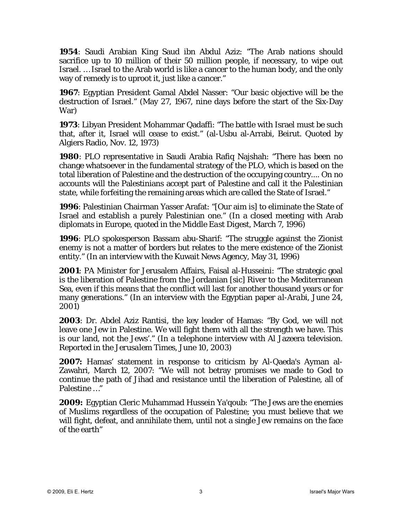**1954**: Saudi Arabian King Saud ibn Abdul Aziz: "The Arab nations should sacrifice up to 10 million of their 50 million people, if necessary, to wipe out Israel. … Israel to the Arab world is like a cancer to the human body, and the only way of remedy is to uproot it, just like a cancer."

**1967**: Egyptian President Gamal Abdel Nasser: "Our basic objective will be the destruction of Israel." (May 27, 1967, nine days before the start of the Six-Day War)

**1973**: Libyan President Mohammar Qadaffi: "The battle with Israel must be such that, after it, Israel will cease to exist." (al-Usbu al-Arrabi, Beirut. Quoted by Algiers Radio, Nov. 12, 1973)

**1980**: PLO representative in Saudi Arabia Rafiq Najshah: "There has been no change whatsoever in the fundamental strategy of the PLO, which is based on the total liberation of Palestine and the destruction of the occupying country.... On no accounts will the Palestinians accept part of Palestine and call it the Palestinian state, while forfeiting the remaining areas which are called the State of Israel."

**1996**: Palestinian Chairman Yasser Arafat: "[Our aim is] to eliminate the State of Israel and establish a purely Palestinian one." (In a closed meeting with Arab diplomats in Europe, quoted in the *Middle East Digest*, March 7, 1996)

**1996**: PLO spokesperson Bassam abu-Sharif: "The struggle against the Zionist enemy is not a matter of borders but relates to the mere existence of the Zionist entity." (In an interview with the Kuwait News Agency, May 31, 1996)

**2001**: PA Minister for Jerusalem Affairs, Faisal al-Husseini: "The strategic goal is the liberation of Palestine from the Jordanian [*sic*] River to the Mediterranean Sea, even if this means that the conflict will last for another thousand years or for many generations." (In an interview with the Egyptian paper *al-Arabi*, June 24, 2001)

**2003**: Dr. Abdel Aziz Rantisi, the key leader of Hamas: "By God, we will not leave one Jew in Palestine. We will fight them with all the strength we have. This is our land, not the Jews'." (In a telephone interview with Al Jazeera television. Reported in the *Jerusalem Times*, June 10, 2003)

**2007:** Hamas' statement in response to criticism by Al-Qaeda's Ayman al-Zawahri, March 12, 2007: "We will not betray promises we made to God to continue the path of Jihad and resistance until the liberation of Palestine, all of Palestine …"

**2009:** Egyptian Cleric Muhammad Hussein Ya'qoub: "The Jews are the enemies of Muslims regardless of the occupation of Palestine; you must believe that we will fight, defeat, and annihilate them, until not a single Jew remains on the face of the earth"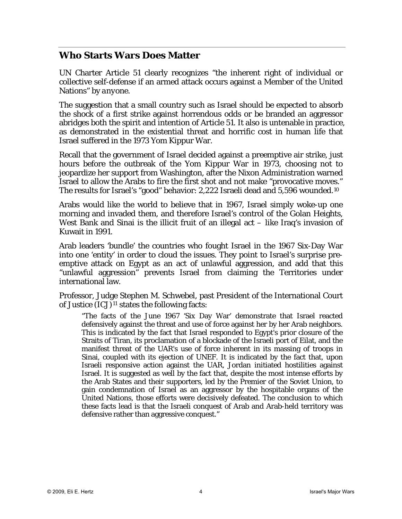## **Who Starts Wars Does Matter**

UN Charter Article 51 clearly recognizes "the inherent right of individual or collective self-defense if an armed attack occurs against a Member of the United Nations" by *anyone*.

The suggestion that a small country such as Israel should be expected to absorb the shock of a first strike against horrendous odds or be branded an aggressor abridges both the spirit and intention of Article 51. It also is untenable in practice, as demonstrated in the existential threat and horrific cost in human life that Israel suffered in the 1973 Yom Kippur War.

Recall that the government of Israel decided against a preemptive air strike, just hours before the outbreak of the Yom Kippur War in 1973, choosing not to jeopardize her support from Washington, after the Nixon Administration warned Israel to allow the Arabs to fire the first shot and not make "provocative moves." The results for Israel's "good" behavior: 2,222 Israeli dead and 5,596 wounded.[10](#page-9-1)

Arabs would like the world to believe that in 1967, Israel simply woke-up one morning and invaded them, and therefore Israel's control of the Golan Heights, West Bank and Sinai is the illicit fruit of an illegal act – like Iraq's invasion of Kuwait in 1991.

Arab leaders 'bundle' the countries who fought Israel in the 1967 Six-Day War into one 'entity' in order to cloud the issues. They point to Israel's surprise preemptive attack on Egypt as an act of unlawful aggression, and add that this "unlawful aggression" prevents Israel from claiming the Territories under international law.

Professor, Judge Stephen M. Schwebel, past President of the International Court of Justice  $(ICJ)^{11}$  $(ICJ)^{11}$  $(ICJ)^{11}$  states the following facts:

"The facts of the June 1967 'Six Day War' demonstrate that Israel reacted defensively against the threat and use of force against her by her Arab neighbors. This is indicated by the fact that Israel responded to Egypt's prior closure of the Straits of Tiran, its proclamation of a blockade of the Israeli port of Eilat, and the manifest threat of the UAR's use of force inherent in its massing of troops in Sinai, coupled with its ejection of UNEF. It is indicated by the fact that, upon Israeli responsive action against the UAR, Jordan initiated hostilities against Israel. It is suggested as well by the fact that, despite the most intense efforts by the Arab States and their supporters, led by the Premier of the Soviet Union, to gain condemnation of Israel as an aggressor by the hospitable organs of the United Nations, those efforts were decisively defeated. The conclusion to which these facts lead is that the Israeli conquest of Arab and Arab-held territory was defensive rather than aggressive conquest."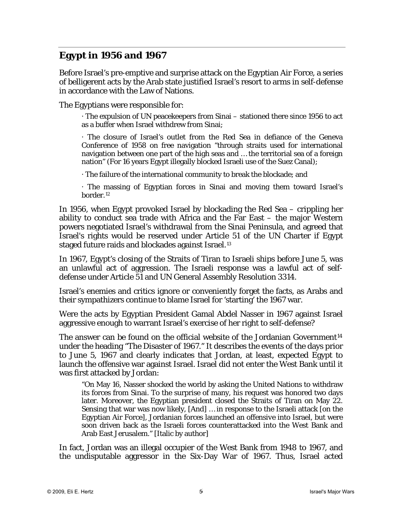# **Egypt in 1956 and 1967**

Before Israel's pre-emptive and surprise attack on the Egyptian Air Force, a series of belligerent acts by the Arab state justified Israel's resort to arms in self-defense in accordance with the Law of Nations.

The Egyptians were responsible for:

· The expulsion of UN peacekeepers from Sinai – stationed there since 1956 to act as a buffer when Israel withdrew from Sinai;

· The closure of Israel's outlet from the Red Sea in defiance of the Geneva Conference of 1958 on free navigation "through straits used for international navigation between one part of the high seas and … the territorial sea of a foreign nation" (For 16 years Egypt illegally blocked Israeli use of the Suez Canal);

· The failure of the international community to break the blockade; and

· The massing of Egyptian forces in Sinai and moving them toward Israel's border.[12](#page-9-1)

In 1956, when Egypt provoked Israel by blockading the Red Sea – crippling her ability to conduct sea trade with Africa and the Far East – the major Western powers negotiated Israel's withdrawal from the Sinai Peninsula, and agreed that Israel's rights would be reserved under Article 51 of the UN Charter if Egypt staged future raids and blockades against Israel.<sup>[13](#page-9-1)</sup>

In 1967, Egypt's closing of the Straits of Tiran to Israeli ships before June 5, was an unlawful act of aggression. The Israeli response was a lawful act of selfdefense under Article 51 and UN General Assembly Resolution 3314.

Israel's enemies and critics ignore or conveniently forget the facts, as Arabs and their sympathizers continue to blame Israel for 'starting' the 1967 war.

Were the acts by Egyptian President Gamal Abdel Nasser in 1967 against Israel aggressive enough to warrant Israel's exercise of her right to self-defense?

The answer can be found on the official website of the Jordanian Government<sup>[14](#page-9-1)</sup> under the heading "The Disaster of 1967." It describes the events of the days prior to June 5, 1967 and clearly indicates that Jordan, at least, expected Egypt to launch the offensive war against Israel. Israel did not enter the West Bank until it was first attacked by Jordan:

"On May 16, Nasser shocked the world by asking the United Nations to withdraw its forces from Sinai. To the surprise of many, his request was honored two days later. Moreover, the Egyptian president closed the Straits of Tiran on May 22. Sensing that war was now likely, [And] … in response to the Israeli attack [on the Egyptian Air Force], Jordanian forces launched an *offensive* into Israel, but were soon driven back as the Israeli forces counterattacked into the West Bank and Arab East Jerusalem." [Italic by author]

In fact, Jordan was an illegal occupier of the West Bank from 1948 to 1967, and the undisputable aggressor in the Six-Day War of 1967. Thus, Israel acted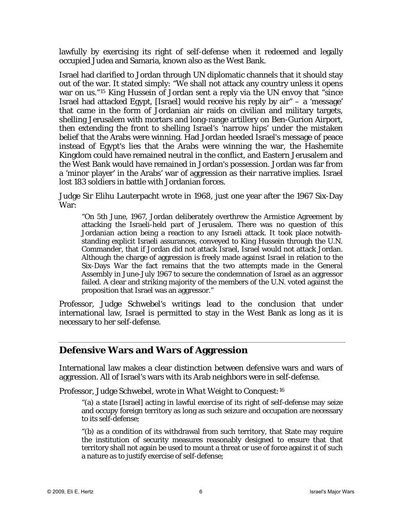lawfully by exercising its right of self-defense when it redeemed and legally occupied Judea and Samaria, known also as the West Bank.

Israel had clarified to Jordan through UN diplomatic channels that it should stay out of the war. It stated simply: "We shall not attack any country unless it opens war on us."[15](#page-9-1) King Hussein of Jordan sent a reply via the UN envoy that "since Israel had attacked Egypt, [Israel] would receive his reply by air" – a 'message' that came in the form of Jordanian air raids on civilian and military targets, shelling Jerusalem with mortars and long-range artillery on Ben-Gurion Airport, then extending the front to shelling Israel's 'narrow hips' under the mistaken belief that the Arabs were winning. Had Jordan heeded Israel's message of peace instead of Egypt's lies that the Arabs were winning the war, the Hashemite Kingdom could have remained neutral in the conflict, and Eastern Jerusalem and the West Bank would have remained in Jordan's possession. Jordan was far from a 'minor player' in the Arabs' war of aggression as their narrative implies. Israel lost 183 soldiers in battle with Jordanian forces.

Judge Sir Elihu Lauterpacht wrote in 1968, just one year after the 1967 Six-Day War:

"On 5th June, 1967, Jordan deliberately overthrew the Armistice Agreement by attacking the Israeli-held part of Jerusalem. There was no question of this Jordanian action being a reaction to any Israeli attack. It took place notwithstanding explicit Israeli assurances, conveyed to King Hussein through the U.N. Commander, that if Jordan did not attack Israel, Israel would not attack Jordan. Although the charge of aggression is freely made against Israel in relation to the Six-Days War the fact remains that the two attempts made in the General Assembly in June-July 1967 to secure the condemnation of Israel as an aggressor failed. A clear and striking majority of the members of the U.N. voted against the proposition that Israel was an aggressor."

Professor, Judge Schwebel's writings lead to the conclusion that under international law, Israel is permitted to stay in the West Bank as long as it is necessary to her self-defense.

#### **Defensive Wars and Wars of Aggression**

International law makes a clear distinction between defensive wars and wars of aggression. All of Israel's wars with its Arab neighbors were in self-defense.

Professor, Judge Schwebel, wrote in *What Weight to Conquest*:[16](#page-9-1)

"(a) a state [Israel] acting in lawful exercise of its right of self-defense may seize and occupy foreign territory as long as such seizure and occupation are necessary to its self-defense;

"(b) as a condition of its withdrawal from such territory, that State may require the institution of security measures reasonably designed to ensure that that territory shall not again be used to mount a threat or use of force against it of such a nature as to justify exercise of self-defense;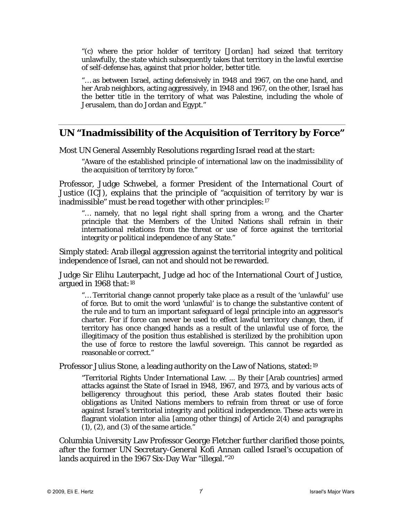"(c) where the prior holder of territory [Jordan] had seized that territory unlawfully, the state which subsequently takes that territory in the lawful exercise of self-defense has, against that prior holder, better title.

"… as between Israel, acting defensively in 1948 and 1967, on the one hand, and her Arab neighbors, acting aggressively, in 1948 and 1967, on the other, Israel has the better title in the territory of what was Palestine, including the whole of Jerusalem, than do Jordan and Egypt."

#### **UN "Inadmissibility of the Acquisition of Territory by Force"**

Most UN General Assembly Resolutions regarding Israel read at the start:

"Aware of the established principle of international law on the inadmissibility of the acquisition of territory by force."

Professor, Judge Schwebel, a former President of the International Court of Justice (ICJ), explains that the principle of "acquisition of territory by war is inadmissible" *must be read together with other principles*:[17](#page-9-1)

"… namely, that no legal right shall spring from a wrong, and the Charter principle that the Members of the United Nations shall refrain in their international relations from the threat or use of force against the territorial integrity or political independence of any State."

Simply stated: Arab illegal aggression against the territorial integrity and political independence of Israel, can not and should not be rewarded.

Judge Sir Elihu Lauterpacht, Judge ad hoc of the International Court of Justice, argued in 1968 that:[18](#page-9-1)

"… Territorial change cannot properly take place as a result of the 'unlawful' use of force. But to omit the word 'unlawful' is to change the substantive content of the rule and to turn an important safeguard of legal principle into an aggressor's charter. For if force can never be used to effect lawful territory change, then, if territory has once changed hands as a result of the unlawful use of force, the illegitimacy of the position thus established is sterilized by the prohibition upon the use of force to restore the lawful sovereign. This cannot be regarded as reasonable or correct."

Professor Julius Stone, a leading authority on the Law of Nations, stated:[19](#page-9-1)

"Territorial Rights Under International Law. ... By their [Arab countries] armed attacks against the State of Israel in 1948, 1967, and 1973, and by various acts of belligerency throughout this period, these Arab states flouted their basic obligations as United Nations members to refrain from threat or use of force against Israel's territorial integrity and political independence. These acts were in flagrant violation *inter alia* [among other things] of Article 2(4) and paragraphs (1), (2), and (3) of the same article."

Columbia University Law Professor George Fletcher further clarified those points, after the former UN Secretary-General Kofi Annan called Israel's occupation of lands acquired in the 1967 Six-Day War "illegal."[20](#page-9-1)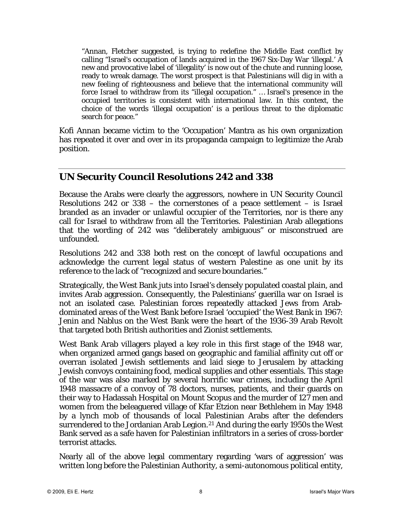"Annan, Fletcher suggested, is trying to redefine the Middle East conflict by calling "Israel's occupation of lands acquired in the 1967 Six-Day War 'illegal.' A new and provocative label of 'illegality' is now out of the chute and running loose, ready to wreak damage. The worst prospect is that Palestinians will dig in with a new feeling of righteousness and believe that the international community will force Israel to withdraw from its "illegal occupation." … Israel's presence in the occupied territories is consistent with international law. In this context, the choice of the words 'illegal occupation' is a perilous threat to the diplomatic search for peace."

Kofi Annan became victim to the 'Occupation' Mantra as his own organization has repeated it over and over in its propaganda campaign to legitimize the Arab position.

## **UN Security Council Resolutions 242 and 338**

Because the Arabs were clearly the aggressors, nowhere in UN Security Council Resolutions 242 or 338 – the cornerstones of a peace settlement – is Israel branded as an invader or unlawful occupier of the Territories, nor is there any call for Israel to withdraw from all the Territories. Palestinian Arab allegations that the wording of 242 was "deliberately ambiguous" or misconstrued are unfounded.

Resolutions 242 and 338 both rest on the concept of *lawful occupations* and acknowledge the current legal status of western Palestine as one unit by its reference to the lack of "recognized and secure boundaries."

Strategically, the West Bank juts into Israel's densely populated coastal plain, and invites Arab aggression. Consequently, the Palestinians' guerilla war on Israel is not an isolated case. Palestinian forces repeatedly attacked Jews from Arabdominated areas of the West Bank before Israel 'occupied' the West Bank in 1967: Jenin and Nablus on the West Bank were the heart of the 1936-39 Arab Revolt that targeted both British authorities and Zionist settlements.

West Bank Arab villagers played a key role in this first stage of the 1948 war, when organized armed gangs based on geographic and familial affinity cut off or overran isolated Jewish settlements and laid siege to Jerusalem by attacking Jewish convoys containing food, medical supplies and other essentials. This stage of the war was also marked by several horrific war crimes, including the April 1948 massacre of a convoy of 78 doctors, nurses, patients, and their guards on their way to Hadassah Hospital on Mount Scopus and the murder of 127 men and women from the beleaguered village of Kfar Etzion near Bethlehem in May 1948 by a lynch mob of thousands of local Palestinian Arabs after the defenders surrendered to the Jordanian Arab Legion.<sup>[21](#page-9-1)</sup> And during the early 1950s the West Bank served as a safe haven for Palestinian infiltrators in a series of cross-border terrorist attacks.

Nearly all of the above legal commentary regarding 'wars of aggression' was written long before the Palestinian Authority, a semi-autonomous political entity,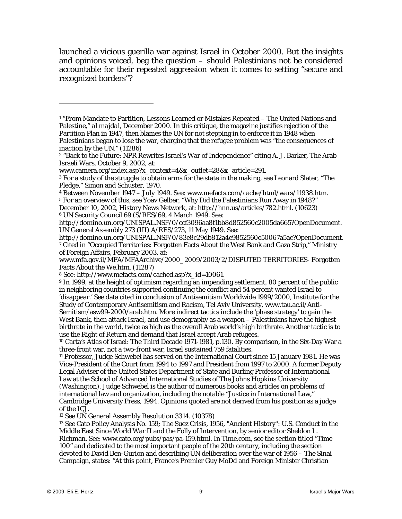launched a vicious guerilla war against Israel in October 2000. But the insights and opinions voiced, beg the question – should Palestinians not be considered accountable for their repeated aggression when it comes to setting "secure and recognized borders"?

[www.mfa.gov.il/MFA/MFAArchive/2000\\_2009/2003/2/DISPUTED TERRITORIES- Forgotten](http://www.mfa.gov.il/MFA/MFAArchive/2000_2009/2003/2/DISPUTED%20TERRITORIES-%20Forgotten%20Facts%20About%20the%20We.htm)  [Facts About the We.htm.](http://www.mfa.gov.il/MFA/MFAArchive/2000_2009/2003/2/DISPUTED%20TERRITORIES-%20Forgotten%20Facts%20About%20the%20We.htm) (11287)

8 See: http://www.mefacts.com/cached.asp?x\_id=10061.

9 In 1999, at the height of optimism regarding an impending settlement, 80 percent of the public in neighboring countries supported continuing the conflict and 54 percent wanted Israel to 'disappear.' See data cited in conclusion of Antisemitism Worldwide 1999/2000, Institute for the Study of Contemporary Antisemitism and Racism, Tel Aviv University, [www.tau.ac.il/Anti-](http://www.tau.ac.il/Anti-Semitism/asw99-2000/arab.htm)[Semitism/asw99-2000/arab.htm](http://www.tau.ac.il/Anti-Semitism/asw99-2000/arab.htm). More indirect tactics include the 'phase strategy' to gain the West Bank, then attack Israel, and use demography as a weapon – Palestinians have the highest birthrate in the world, twice as high as the overall Arab world's high birthrate. Another tactic is to use the Right of Return and demand that Israel accept Arab refugees.

10 Carta's Atlas of Israel: The Third Decade 1971-1981, p.130. By comparison, in the Six-Day War a three-front war, not a two-front war, Israel sustained 759 fatalities.

11 Professor, Judge Schwebel has served on the International Court since 15 January 1981. He was Vice-President of the Court from 1994 to 1997 and President from 1997 to 2000. A former Deputy Legal Adviser of the United States Department of State and Burling Professor of International Law at the School of Advanced International Studies of The Johns Hopkins University (Washington). Judge Schwebel is the author of numerous books and articles on problems of international law and organization, including the notable "Justice in International Law," Cambridge University Press, 1994. Opinions quoted are not derived from his position as a judge of the ICJ.

12 See UN General Assembly Resolution 3314. (10378)

13 See Cato Policy Analysis No. 159; The Suez Crisis, 1956, "Ancient History": U.S. Conduct in the Middle East Since World War II and the Folly of Intervention, by senior editor Sheldon L. Richman. See: [www.cato.org/pubs/pas/pa-159.html](http://www.cato.org/pubs/pas/pa-159.html). In *Time.com*, see the section titled "Time 100" and dedicated to the most important people of the 20th century, including the section devoted to David Ben-Gurion and describing UN deliberation over the war of 1956 – The Sinai Campaign, states: "At this point, France's Premier Guy MoDd and Foreign Minister Christian

 $\overline{a}$ 

<sup>&</sup>lt;sup>1</sup> "From Mandate to Partition, Lessons Learned or Mistakes Repeated - The United Nations and Palestine," *al majdal*, December 2000. In this critique, the magazine justifies rejection of the Partition Plan in 1947, then blames the UN for not stepping in to enforce it in 1948 when Palestinians began to lose the war, charging that the refugee problem was "the consequences of inaction by the UN." (11286)

<sup>2 &</sup>quot;Back to the Future: NPR Rewrites Israel's War of Independence" citing A. J. Barker, The Arab Israeli Wars, October 9, 2002, at:

[www.camera.org/index.asp?x\\_context=4&x\\_outlet=28&x\\_article=291.](http://www.camera.org/index.asp?x_context=4&x_outlet=28&x_article=291)<br><sup>3</sup> For a study of the struggle to obtain arms for the state in the making, see Leonard Slater, "The Pledge," Simon and Schuster, 1970.

<sup>&</sup>lt;sup>4</sup> Between November 1947 – July 1949. See: <u>www.mefacts.com/cache/html/wars/11938.htm</u>.<br><sup>5</sup> For an overview of this, see Yoav Gelber, "Why Did the Palestinians Run Away in 1948?"

December 10, 2002, History News Network, at:<http://hnn.us/articles/782.html>. (10623) 6 UN Security Council 69 (S/RES/69, 4 March 1949. See:

<http://domino.un.org/UNISPAL.NSF/0/ccf3096aa8f1bb8d852560c2005da665?OpenDocument>. UN General Assembly 273 (III) A/RES/273, 11 May 1949. See:<br>http://domino.un.org/UNISPAL.NSF/0/83e8c29db812a4e9852560e50067a5ac?OpenDocument.

<sup>&</sup>lt;sup>7</sup> Cited in "Occupied Territories: Forgotten Facts About the West Bank and Gaza Strip," Ministry of Foreign Affairs, February 2003, at: